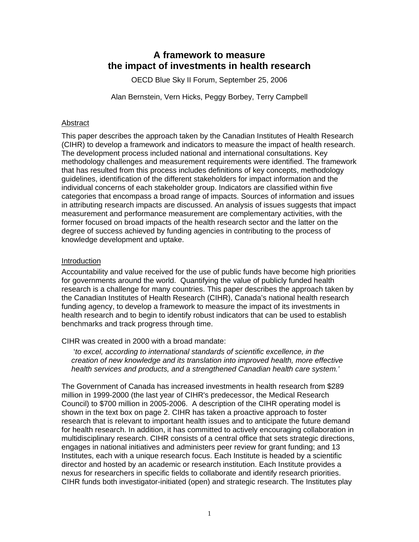# **A framework to measure the impact of investments in health research**

OECD Blue Sky II Forum, September 25, 2006

Alan Bernstein, Vern Hicks, Peggy Borbey, Terry Campbell

### Abstract

This paper describes the approach taken by the Canadian Institutes of Health Research (CIHR) to develop a framework and indicators to measure the impact of health research. The development process included national and international consultations. Key methodology challenges and measurement requirements were identified. The framework that has resulted from this process includes definitions of key concepts, methodology guidelines, identification of the different stakeholders for impact information and the individual concerns of each stakeholder group. Indicators are classified within five categories that encompass a broad range of impacts. Sources of information and issues in attributing research impacts are discussed. An analysis of issues suggests that impact measurement and performance measurement are complementary activities, with the former focused on broad impacts of the health research sector and the latter on the degree of success achieved by funding agencies in contributing to the process of knowledge development and uptake.

### Introduction

Accountability and value received for the use of public funds have become high priorities for governments around the world. Quantifying the value of publicly funded health research is a challenge for many countries. This paper describes the approach taken by the Canadian Institutes of Health Research (CIHR), Canada's national health research funding agency, to develop a framework to measure the impact of its investments in health research and to begin to identify robust indicators that can be used to establish benchmarks and track progress through time.

CIHR was created in 2000 with a broad mandate:

 '*to excel, according to international standards of scientific excellence, in the creation of new knowledge and its translation into improved health, more effective health services and products, and a strengthened Canadian health care system.'* 

The Government of Canada has increased investments in health research from \$289 million in 1999-2000 (the last year of CIHR's predecessor, the Medical Research Council) to \$700 million in 2005-2006. A description of the CIHR operating model is shown in the text box on page 2. CIHR has taken a proactive approach to foster research that is relevant to important health issues and to anticipate the future demand for health research. In addition, it has committed to actively encouraging collaboration in multidisciplinary research. CIHR consists of a central office that sets strategic directions, engages in national initiatives and administers peer review for grant funding; and 13 Institutes, each with a unique research focus. Each Institute is headed by a scientific director and hosted by an academic or research institution. Each Institute provides a nexus for researchers in specific fields to collaborate and identify research priorities. CIHR funds both investigator-initiated (open) and strategic research. The Institutes play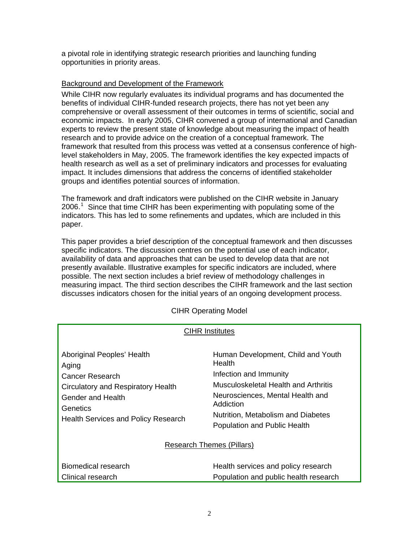a pivotal role in identifying strategic research priorities and launching funding opportunities in priority areas.

# Background and Development of the Framework

While CIHR now regularly evaluates its individual programs and has documented the benefits of individual CIHR-funded research projects, there has not yet been any comprehensive or overall assessment of their outcomes in terms of scientific, social and economic impacts. In early 2005, CIHR convened a group of international and Canadian experts to review the present state of knowledge about measuring the impact of health research and to provide advice on the creation of a conceptual framework. The framework that resulted from this process was vetted at a consensus conference of highlevel stakeholders in May, 2005. The framework identifies the key expected impacts of health research as well as a set of preliminary indicators and processes for evaluating impact. It includes dimensions that address the concerns of identified stakeholder groups and identifies potential sources of information.

The framework and draft indicators were published on the CIHR website in January 2006.<sup>[1](#page-15-0)</sup> Since that time CIHR has been experimenting with populating some of the indicators. This has led to some refinements and updates, which are included in this paper.

This paper provides a brief description of the conceptual framework and then discusses specific indicators. The discussion centres on the potential use of each indicator, availability of data and approaches that can be used to develop data that are not presently available. Illustrative examples for specific indicators are included, where possible. The next section includes a brief review of methodology challenges in measuring impact. The third section describes the CIHR framework and the last section discusses indicators chosen for the initial years of an ongoing development process.

| <b>CIHR Institutes</b>                                                                                                                                                      |                                                                                                                                                                                                                                              |
|-----------------------------------------------------------------------------------------------------------------------------------------------------------------------------|----------------------------------------------------------------------------------------------------------------------------------------------------------------------------------------------------------------------------------------------|
| Aboriginal Peoples' Health<br>Aging<br>Cancer Research<br>Circulatory and Respiratory Health<br>Gender and Health<br>Genetics<br><b>Health Services and Policy Research</b> | Human Development, Child and Youth<br><b>Health</b><br>Infection and Immunity<br>Musculoskeletal Health and Arthritis<br>Neurosciences, Mental Health and<br>Addiction<br>Nutrition, Metabolism and Diabetes<br>Population and Public Health |
| Research Themes (Pillars)                                                                                                                                                   |                                                                                                                                                                                                                                              |
| Biomedical research<br>Clinical research                                                                                                                                    | Health services and policy research<br>Population and public health research                                                                                                                                                                 |

# CIHR Operating Model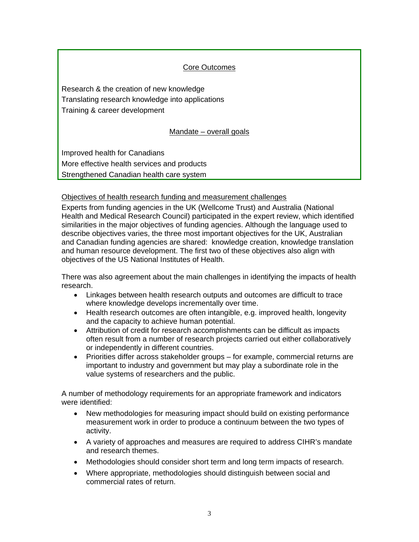# Core Outcomes

Research & the creation of new knowledge Translating research knowledge into applications Training & career development

# Mandate – overall goals

Improved health for Canadians More effective health services and products Strengthened Canadian health care system

# Objectives of health research funding and measurement challenges

Experts from funding agencies in the UK (Wellcome Trust) and Australia (National Health and Medical Research Council) participated in the expert review, which identified similarities in the major objectives of funding agencies. Although the language used to describe objectives varies, the three most important objectives for the UK, Australian and Canadian funding agencies are shared: knowledge creation, knowledge translation and human resource development. The first two of these objectives also align with objectives of the US National Institutes of Health.

There was also agreement about the main challenges in identifying the impacts of health research.

- Linkages between health research outputs and outcomes are difficult to trace where knowledge develops incrementally over time.
- Health research outcomes are often intangible, e.g. improved health, longevity and the capacity to achieve human potential.
- Attribution of credit for research accomplishments can be difficult as impacts often result from a number of research projects carried out either collaboratively or independently in different countries.
- Priorities differ across stakeholder groups for example, commercial returns are important to industry and government but may play a subordinate role in the value systems of researchers and the public.

A number of methodology requirements for an appropriate framework and indicators were identified:

- New methodologies for measuring impact should build on existing performance measurement work in order to produce a continuum between the two types of activity.
- A variety of approaches and measures are required to address CIHR's mandate and research themes.
- Methodologies should consider short term and long term impacts of research.
- Where appropriate, methodologies should distinguish between social and commercial rates of return.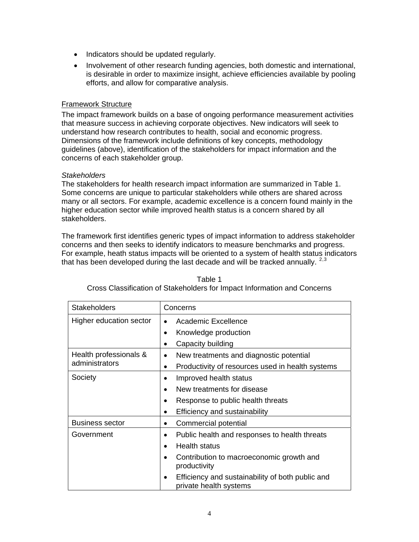- Indicators should be updated regularly.
- Involvement of other research funding agencies, both domestic and international, is desirable in order to maximize insight, achieve efficiencies available by pooling efforts, and allow for comparative analysis.

## Framework Structure

The impact framework builds on a base of ongoing performance measurement activities that measure success in achieving corporate objectives. New indicators will seek to understand how research contributes to health, social and economic progress. Dimensions of the framework include definitions of key concepts, methodology guidelines (above), identification of the stakeholders for impact information and the concerns of each stakeholder group.

#### *Stakeholders*

The stakeholders for health research impact information are summarized in Table 1. Some concerns are unique to particular stakeholders while others are shared across many or all sectors. For example, academic excellence is a concern found mainly in the higher education sector while improved health status is a concern shared by all stakeholders.

The framework first identifies generic types of impact information to address stakeholder concerns and then seeks to identify indicators to measure benchmarks and progress. For example, heath status impacts will be oriented to a system of health status indicators that has been developed during the last decade and will be tracked annually.  $2,3$  $2,3$  $2,3$ 

| <b>Stakeholders</b>                      | Concerns                                                                                                                                                                                                                                             |
|------------------------------------------|------------------------------------------------------------------------------------------------------------------------------------------------------------------------------------------------------------------------------------------------------|
| Higher education sector                  | Academic Excellence<br>$\bullet$<br>Knowledge production<br>$\bullet$<br>Capacity building<br>$\bullet$                                                                                                                                              |
| Health professionals &<br>administrators | New treatments and diagnostic potential<br>$\bullet$<br>Productivity of resources used in health systems<br>$\bullet$                                                                                                                                |
| Society                                  | Improved health status<br>New treatments for disease<br>٠<br>Response to public health threats<br>٠<br>Efficiency and sustainability<br>$\bullet$                                                                                                    |
| <b>Business sector</b>                   | Commercial potential<br>٠                                                                                                                                                                                                                            |
| Government                               | Public health and responses to health threats<br>٠<br>Health status<br>$\bullet$<br>Contribution to macroeconomic growth and<br>$\bullet$<br>productivity<br>Efficiency and sustainability of both public and<br>$\bullet$<br>private health systems |

| Table 1                                                                  |
|--------------------------------------------------------------------------|
| Cross Classification of Stakeholders for Impact Information and Concerns |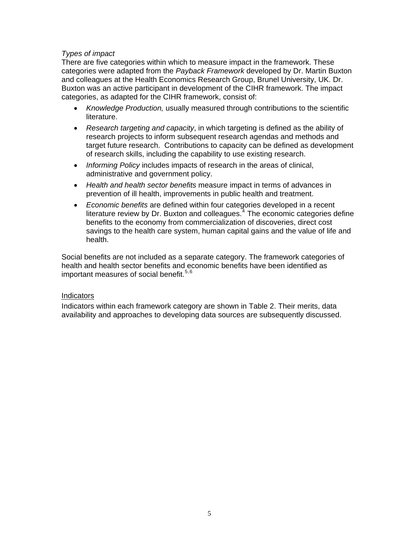# *Types of impact*

There are five categories within which to measure impact in the framework. These categories were adapted from the *Payback Framework* developed by Dr. Martin Buxton and colleagues at the Health Economics Research Group, Brunel University, UK. Dr. Buxton was an active participant in development of the CIHR framework. The impact categories, as adapted for the CIHR framework, consist of:

- *Knowledge Production,* usually measured through contributions to the scientific literature.
- *Research targeting and capacity*, in which targeting is defined as the ability of research projects to inform subsequent research agendas and methods and target future research. Contributions to capacity can be defined as development of research skills, including the capability to use existing research.
- *Informing Policy* includes impacts of research in the areas of clinical, administrative and government policy.
- *Health and health sector benefits* measure impact in terms of advances in prevention of ill health, improvements in public health and treatment.
- *Economic benefits* are defined within four categories developed in a recent literature review by Dr. Buxton and colleagues. $4$  The economic categories define benefits to the economy from commercialization of discoveries, direct cost savings to the health care system, human capital gains and the value of life and health.

Social benefits are not included as a separate category. The framework categories of health and health sector benefits and economic benefits have been identified as important measures of social benefit.<sup>[5](#page-15-1),[6](#page-15-1)</sup>

#### Indicators

Indicators within each framework category are shown in Table 2. Their merits, data availability and approaches to developing data sources are subsequently discussed.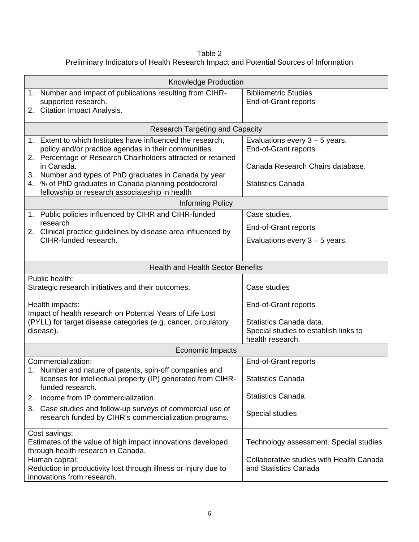Table 2 Preliminary Indicators of Health Research Impact and Potential Sources of Information

| <b>Knowledge Production</b>                                                                                                                 |                                                                   |  |
|---------------------------------------------------------------------------------------------------------------------------------------------|-------------------------------------------------------------------|--|
| 1. Number and impact of publications resulting from CIHR-<br>supported research.<br>2. Citation Impact Analysis.                            | <b>Bibliometric Studies</b><br>End-of-Grant reports               |  |
|                                                                                                                                             |                                                                   |  |
| <b>Research Targeting and Capacity</b>                                                                                                      |                                                                   |  |
| 1. Extent to which Institutes have influenced the research,<br>policy and/or practice agendas in their communities.                         | Evaluations every $3 - 5$ years.<br><b>End-of-Grant reports</b>   |  |
| 2. Percentage of Research Chairholders attracted or retained                                                                                |                                                                   |  |
| in Canada.<br>Number and types of PhD graduates in Canada by year<br>3.                                                                     | Canada Research Chairs database.                                  |  |
| % of PhD graduates in Canada planning postdoctoral<br>4.<br>fellowship or research associateship in health                                  | <b>Statistics Canada</b>                                          |  |
| Informing Policy                                                                                                                            |                                                                   |  |
| 1. Public policies influenced by CIHR and CIHR-funded                                                                                       | Case studies.                                                     |  |
| research<br>2. Clinical practice guidelines by disease area influenced by                                                                   | End-of-Grant reports                                              |  |
| CIHR-funded research.                                                                                                                       | Evaluations every $3 - 5$ years.                                  |  |
|                                                                                                                                             |                                                                   |  |
| <b>Health and Health Sector Benefits</b>                                                                                                    |                                                                   |  |
| Public health:<br>Strategic research initiatives and their outcomes.                                                                        | Case studies                                                      |  |
| Health impacts:                                                                                                                             | End-of-Grant reports                                              |  |
| Impact of health research on Potential Years of Life Lost<br>(PYLL) for target disease categories (e.g. cancer, circulatory                 | Statistics Canada data.                                           |  |
| disease).                                                                                                                                   | Special studies to establish links to                             |  |
| Economic Impacts                                                                                                                            | health research.                                                  |  |
| Commercialization:                                                                                                                          | End-of-Grant reports                                              |  |
| 1. Number and nature of patents, spin-off companies and<br>licenses for intellectual property (IP) generated from CIHR-<br>funded research. | <b>Statistics Canada</b>                                          |  |
| Income from IP commercialization.<br>2.                                                                                                     | <b>Statistics Canada</b>                                          |  |
| Case studies and follow-up surveys of commercial use of<br>3.<br>research funded by CIHR's commercialization programs.                      | Special studies                                                   |  |
| Cost savings:<br>Estimates of the value of high impact innovations developed<br>through health research in Canada.                          | Technology assessment. Special studies                            |  |
| Human capital:<br>Reduction in productivity lost through illness or injury due to<br>innovations from research.                             | Collaborative studies with Health Canada<br>and Statistics Canada |  |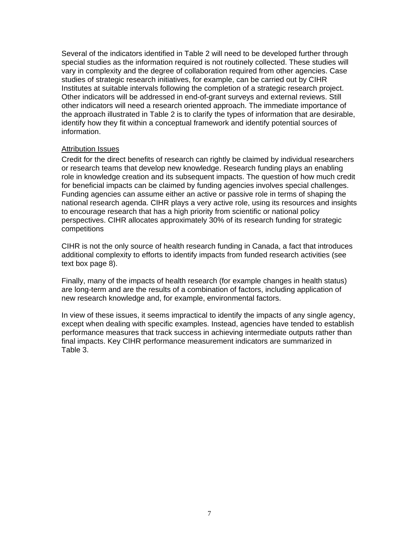Several of the indicators identified in Table 2 will need to be developed further through special studies as the information required is not routinely collected. These studies will vary in complexity and the degree of collaboration required from other agencies. Case studies of strategic research initiatives, for example, can be carried out by CIHR Institutes at suitable intervals following the completion of a strategic research project. Other indicators will be addressed in end-of-grant surveys and external reviews. Still other indicators will need a research oriented approach. The immediate importance of the approach illustrated in Table 2 is to clarify the types of information that are desirable, identify how they fit within a conceptual framework and identify potential sources of information.

#### Attribution Issues

Credit for the direct benefits of research can rightly be claimed by individual researchers or research teams that develop new knowledge. Research funding plays an enabling role in knowledge creation and its subsequent impacts. The question of how much credit for beneficial impacts can be claimed by funding agencies involves special challenges. Funding agencies can assume either an active or passive role in terms of shaping the national research agenda. CIHR plays a very active role, using its resources and insights to encourage research that has a high priority from scientific or national policy perspectives. CIHR allocates approximately 30% of its research funding for strategic competitions

CIHR is not the only source of health research funding in Canada, a fact that introduces additional complexity to efforts to identify impacts from funded research activities (see text box page 8).

Finally, many of the impacts of health research (for example changes in health status) are long-term and are the results of a combination of factors, including application of new research knowledge and, for example, environmental factors.

In view of these issues, it seems impractical to identify the impacts of any single agency, except when dealing with specific examples. Instead, agencies have tended to establish performance measures that track success in achieving intermediate outputs rather than final impacts. Key CIHR performance measurement indicators are summarized in Table 3.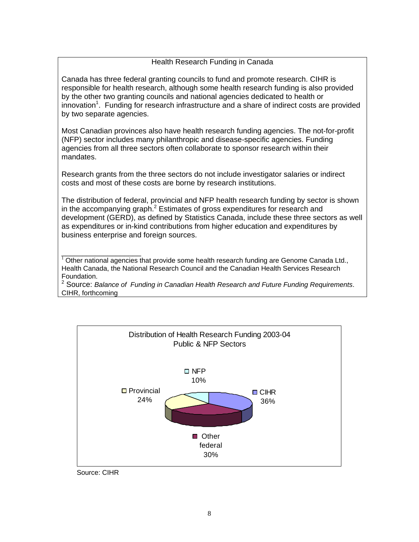# Health Research Funding in Canada

Canada has three federal granting councils to fund and promote research. CIHR is responsible for health research, although some health research funding is also provided by the other two granting councils and national agencies dedicated to health or innovation<sup>1</sup>. Funding for research infrastructure and a share of indirect costs are provided by two separate agencies.

Most Canadian provinces also have health research funding agencies. The not-for-profit (NFP) sector includes many philanthropic and disease-specific agencies. Funding agencies from all three sectors often collaborate to sponsor research within their mandates.

Research grants from the three sectors do not include investigator salaries or indirect costs and most of these costs are borne by research institutions.

The distribution of federal, provincial and NFP health research funding by sector is shown in the accompanying graph.<sup>2</sup> Estimates of gross expenditures for research and development (GERD), as defined by Statistics Canada, include these three sectors as well as expenditures or in-kind contributions from higher education and expenditures by business enterprise and foreign sources.

\_\_\_\_\_\_\_\_\_\_\_\_\_\_\_\_\_\_\_  $1$  Other national agencies that provide some health research funding are Genome Canada Ltd., Health Canada, the National Research Council and the Canadian Health Services Research Foundation. <sup>2</sup>

<sup>2</sup> Source: *Balance of Funding in Canadian Health Research and Future Funding Requirements.* CIHR, forthcoming



Source: CIHR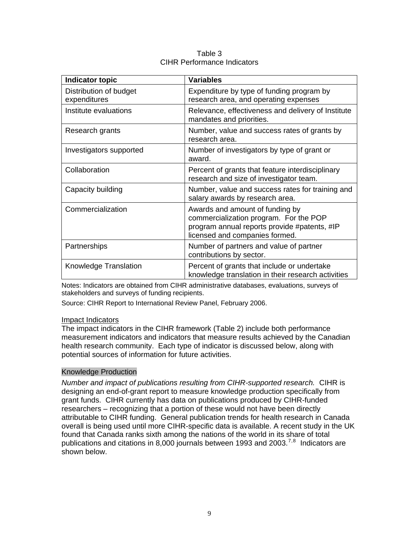| <b>Indicator topic</b>                 | <b>Variables</b>                                                                                                                                            |
|----------------------------------------|-------------------------------------------------------------------------------------------------------------------------------------------------------------|
| Distribution of budget<br>expenditures | Expenditure by type of funding program by<br>research area, and operating expenses                                                                          |
| Institute evaluations                  | Relevance, effectiveness and delivery of Institute<br>mandates and priorities.                                                                              |
| Research grants                        | Number, value and success rates of grants by<br>research area.                                                                                              |
| Investigators supported                | Number of investigators by type of grant or<br>award.                                                                                                       |
| Collaboration                          | Percent of grants that feature interdisciplinary<br>research and size of investigator team.                                                                 |
| Capacity building                      | Number, value and success rates for training and<br>salary awards by research area.                                                                         |
| Commercialization                      | Awards and amount of funding by<br>commercialization program. For the POP<br>program annual reports provide #patents, #IP<br>licensed and companies formed. |
| Partnerships                           | Number of partners and value of partner<br>contributions by sector.                                                                                         |
| Knowledge Translation                  | Percent of grants that include or undertake<br>knowledge translation in their research activities                                                           |

Table 3 CIHR Performance Indicators

Notes: Indicators are obtained from CIHR administrative databases, evaluations, surveys of stakeholders and surveys of funding recipients.

Source: CIHR Report to International Review Panel, February 2006.

#### Impact Indicators

The impact indicators in the CIHR framework (Table 2) include both performance measurement indicators and indicators that measure results achieved by the Canadian health research community.Each type of indicator is discussed below, along with potential sources of information for future activities.

#### Knowledge Production

*Number and impact of publications resulting from CIHR-supported research.* CIHR is designing an end-of-grant report to measure knowledge production specifically from grant funds. CIHR currently has data on publications produced by CIHR-funded researchers – recognizing that a portion of these would not have been directly attributable to CIHR funding. General publication trends for health research in Canada overall is being used until more CIHR-specific data is available. A recent study in the UK found that Canada ranks sixth among the nations of the world in its share of total publications and citations in 8,000 journals between 1993 and 2003.<sup>[7](#page-15-1),[8](#page-15-1)</sup> Indicators are shown below.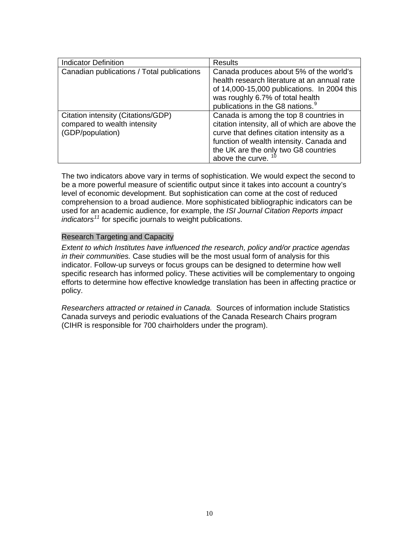| <b>Indicator Definition</b>                                                            | <b>Results</b>                                                                                                                                                                                                                                      |
|----------------------------------------------------------------------------------------|-----------------------------------------------------------------------------------------------------------------------------------------------------------------------------------------------------------------------------------------------------|
| Canadian publications / Total publications                                             | Canada produces about 5% of the world's<br>health research literature at an annual rate<br>of 14,000-15,000 publications. In 2004 this<br>was roughly 6.7% of total health<br>publications in the G8 nations. <sup>9</sup>                          |
| Citation intensity (Citations/GDP)<br>compared to wealth intensity<br>(GDP/population) | Canada is among the top 8 countries in<br>citation intensity, all of which are above the<br>curve that defines citation intensity as a<br>function of wealth intensity. Canada and<br>the UK are the only two G8 countries<br>above the curve. $10$ |

The two indicators above vary in terms of sophistication. We would expect the second to be a more powerful measure of scientific output since it takes into account a country's level of economic development. But sophistication can come at the cost of reduced comprehension to a broad audience. More sophisticated bibliographic indicators can be used for an academic audience, for example, the *ISI Journal Citation Reports impact indicators[11](#page-15-1)* for specific journals to weight publications.

#### Research Targeting and Capacity

*Extent to which Institutes have influenced the research, policy and/or practice agendas in their communities.* Case studies will be the most usual form of analysis for this indicator. Follow-up surveys or focus groups can be designed to determine how well specific research has informed policy. These activities will be complementary to ongoing efforts to determine how effective knowledge translation has been in affecting practice or policy.

*Researchers attracted or retained in Canada.* Sources of information include Statistics Canada surveys and periodic evaluations of the Canada Research Chairs program (CIHR is responsible for 700 chairholders under the program).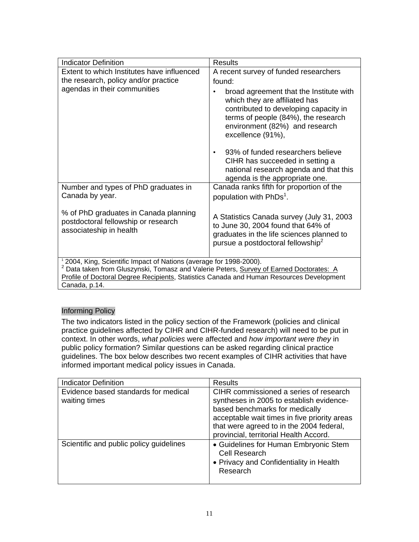| <b>Indicator Definition</b>                                                                                                                                                       | <b>Results</b>                                                                                                                                                                                                  |
|-----------------------------------------------------------------------------------------------------------------------------------------------------------------------------------|-----------------------------------------------------------------------------------------------------------------------------------------------------------------------------------------------------------------|
| Extent to which Institutes have influenced                                                                                                                                        | A recent survey of funded researchers                                                                                                                                                                           |
| the research, policy and/or practice                                                                                                                                              | found:                                                                                                                                                                                                          |
| agendas in their communities                                                                                                                                                      | broad agreement that the Institute with<br>which they are affiliated has<br>contributed to developing capacity in<br>terms of people (84%), the research<br>environment (82%) and research<br>excellence (91%), |
|                                                                                                                                                                                   | 93% of funded researchers believe<br>$\bullet$                                                                                                                                                                  |
|                                                                                                                                                                                   | CIHR has succeeded in setting a<br>national research agenda and that this<br>agenda is the appropriate one.                                                                                                     |
| Number and types of PhD graduates in                                                                                                                                              | Canada ranks fifth for proportion of the                                                                                                                                                                        |
| Canada by year.                                                                                                                                                                   | population with PhDs <sup>1</sup> .                                                                                                                                                                             |
| % of PhD graduates in Canada planning<br>postdoctoral fellowship or research<br>associateship in health                                                                           | A Statistics Canada survey (July 31, 2003)<br>to June 30, 2004 found that 64% of<br>graduates in the life sciences planned to<br>pursue a postdoctoral fellowship <sup>2</sup>                                  |
| <sup>1</sup> 2004, King, Scientific Impact of Nations (average for 1998-2000).                                                                                                    |                                                                                                                                                                                                                 |
| Data taken from Gluszynski, Tomasz and Valerie Peters, Survey of Earned Doctorates: A<br>Profile of Doctoral Degree Recipients, Statistics Canada and Human Resources Development |                                                                                                                                                                                                                 |
| Canada, p.14.                                                                                                                                                                     |                                                                                                                                                                                                                 |
|                                                                                                                                                                                   |                                                                                                                                                                                                                 |

# Informing Policy

The two indicators listed in the policy section of the Framework (policies and clinical practice guidelines affected by CIHR and CIHR-funded research) will need to be put in context. In other words, *what policies* were affected and *how important were they* in public policy formation? Similar questions can be asked regarding clinical practice guidelines. The box below describes two recent examples of CIHR activities that have informed important medical policy issues in Canada.

| <b>Indicator Definition</b>                           | <b>Results</b>                                                                                                                                                                                                                                             |
|-------------------------------------------------------|------------------------------------------------------------------------------------------------------------------------------------------------------------------------------------------------------------------------------------------------------------|
| Evidence based standards for medical<br>waiting times | CIHR commissioned a series of research<br>syntheses in 2005 to establish evidence-<br>based benchmarks for medically<br>acceptable wait times in five priority areas<br>that were agreed to in the 2004 federal,<br>provincial, territorial Health Accord. |
| Scientific and public policy guidelines               | • Guidelines for Human Embryonic Stem<br><b>Cell Research</b><br>• Privacy and Confidentiality in Health<br>Research                                                                                                                                       |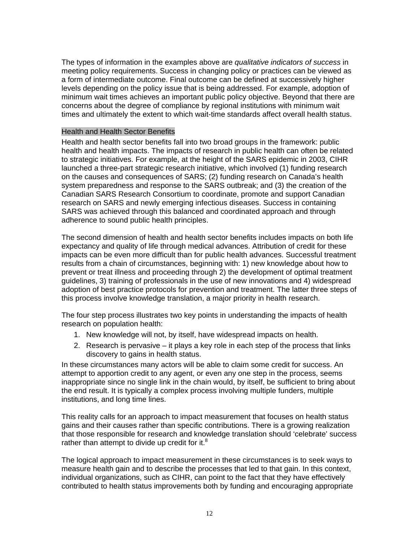The types of information in the examples above are *qualitative indicators of success* in meeting policy requirements. Success in changing policy or practices can be viewed as a form of intermediate outcome. Final outcome can be defined at successively higher levels depending on the policy issue that is being addressed. For example, adoption of minimum wait times achieves an important public policy objective. Beyond that there are concerns about the degree of compliance by regional institutions with minimum wait times and ultimately the extent to which wait-time standards affect overall health status.

#### Health and Health Sector Benefits

Health and health sector benefits fall into two broad groups in the framework: public health and health impacts. The impacts of research in public health can often be related to strategic initiatives. For example, at the height of the SARS epidemic in 2003, CIHR launched a three-part strategic research initiative, which involved (1) funding research on the causes and consequences of SARS; (2) funding research on Canada's health system preparedness and response to the SARS outbreak; and (3) the creation of the Canadian SARS Research Consortium to coordinate, promote and support Canadian research on SARS and newly emerging infectious diseases. Success in containing SARS was achieved through this balanced and coordinated approach and through adherence to sound public health principles.

The second dimension of health and health sector benefits includes impacts on both life expectancy and quality of life through medical advances. Attribution of credit for these impacts can be even more difficult than for public health advances. Successful treatment results from a chain of circumstances, beginning with: 1) new knowledge about how to prevent or treat illness and proceeding through 2) the development of optimal treatment guidelines, 3) training of professionals in the use of new innovations and 4) widespread adoption of best practice protocols for prevention and treatment. The latter three steps of this process involve knowledge translation, a major priority in health research.

The four step process illustrates two key points in understanding the impacts of health research on population health:

- 1. New knowledge will not, by itself, have widespread impacts on health.
- 2. Research is pervasive it plays a key role in each step of the process that links discovery to gains in health status.

In these circumstances many actors will be able to claim some credit for success. An attempt to apportion credit to any agent, or even any one step in the process, seems inappropriate since no single link in the chain would, by itself, be sufficient to bring about the end result. It is typically a complex process involving multiple funders, multiple institutions, and long time lines.

This reality calls for an approach to impact measurement that focuses on health status gains and their causes rather than specific contributions. There is a growing realization that those responsible for research and knowledge translation should 'celebrate' success rather than attempt to divide up credit for it.<sup>8</sup>

The logical approach to impact measurement in these circumstances is to seek ways to measure health gain and to describe the processes that led to that gain. In this context, individual organizations, such as CIHR, can point to the fact that they have effectively contributed to health status improvements both by funding and encouraging appropriate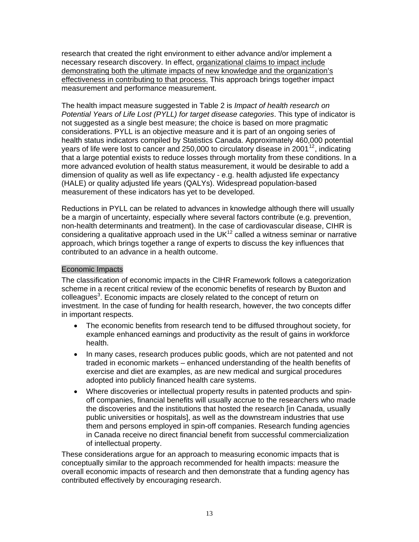research that created the right environment to either advance and/or implement a necessary research discovery. In effect, organizational claims to impact include demonstrating both the ultimate impacts of new knowledge and the organization's effectiveness in contributing to that process. This approach brings together impact measurement and performance measurement.

The health impact measure suggested in Table 2 is *Impact of health research on Potential Years of Life Lost (PYLL) for target disease categories*. This type of indicator is not suggested as a single best measure; the choice is based on more pragmatic considerations. PYLL is an objective measure and it is part of an ongoing series of health status indicators compiled by Statistics Canada. Approximately 460,000 potential years of life were lost to cancer and 250,000 to circulatory disease in 2001<sup>[12](#page-15-1)</sup>, indicating that a large potential exists to reduce losses through mortality from these conditions. In a more advanced evolution of health status measurement, it would be desirable to add a dimension of quality as well as life expectancy - e.g. health adjusted life expectancy (HALE) or quality adjusted life years (QALYs). Widespread population-based measurement of these indicators has yet to be developed.

Reductions in PYLL can be related to advances in knowledge although there will usually be a margin of uncertainty, especially where several factors contribute (e.g. prevention, non-health determinants and treatment). In the case of cardiovascular disease, CIHR is considering a qualitative approach used in the UK $12$  called a witness seminar or narrative approach, which brings together a range of experts to discuss the key influences that contributed to an advance in a health outcome.

## Economic Impacts

The classification of economic impacts in the CIHR Framework follows a categorization scheme in a recent critical review of the economic benefits of research by Buxton and colleagues<sup>3</sup>. Economic impacts are closely related to the concept of return on investment. In the case of funding for health research, however, the two concepts differ in important respects.

- The economic benefits from research tend to be diffused throughout society, for example enhanced earnings and productivity as the result of gains in workforce health.
- In many cases, research produces public goods, which are not patented and not traded in economic markets – enhanced understanding of the health benefits of exercise and diet are examples, as are new medical and surgical procedures adopted into publicly financed health care systems.
- Where discoveries or intellectual property results in patented products and spinoff companies, financial benefits will usually accrue to the researchers who made the discoveries and the institutions that hosted the research [in Canada, usually public universities or hospitals], as well as the downstream industries that use them and persons employed in spin-off companies. Research funding agencies in Canada receive no direct financial benefit from successful commercialization of intellectual property.

These considerations argue for an approach to measuring economic impacts that is conceptually similar to the approach recommended for health impacts: measure the overall economic impacts of research and then demonstrate that a funding agency has contributed effectively by encouraging research.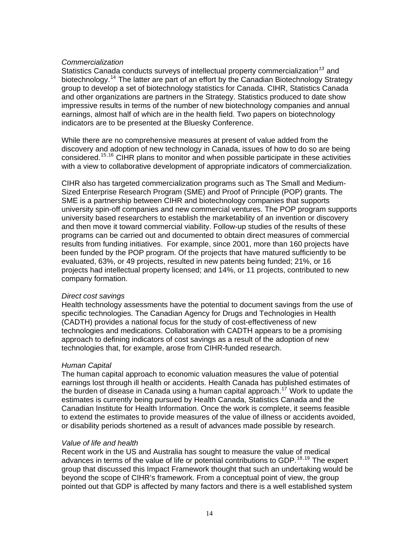#### *Commercialization*

Statistics Canada conducts surveys of intellectual property commercialization*[13](#page-15-1)* and biotechnology.<sup>[14](#page-15-1)</sup> The latter are part of an effort by the Canadian Biotechnology Strategy group to develop a set of biotechnology statistics for Canada. CIHR, Statistics Canada and other organizations are partners in the Strategy. Statistics produced to date show impressive results in terms of the number of new biotechnology companies and annual earnings, almost half of which are in the health field. Two papers on biotechnology indicators are to be presented at the Bluesky Conference.

While there are no comprehensive measures at present of value added from the discovery and adoption of new technology in Canada, issues of how to do so are being considered.[15](#page-15-1),[16](#page-15-1) CIHR plans to monitor and when possible participate in these activities with a view to collaborative development of appropriate indicators of commercialization.

CIHR also has targeted commercialization programs such as The Small and Medium-Sized Enterprise Research Program (SME) and Proof of Principle (POP) grants. The SME is a partnership between CIHR and biotechnology companies that supports university spin-off companies and new commercial ventures. The POP program supports university based researchers to establish the marketability of an invention or discovery and then move it toward commercial viability. Follow-up studies of the results of these programs can be carried out and documented to obtain direct measures of commercial results from funding initiatives. For example, since 2001, more than 160 projects have been funded by the POP program. Of the projects that have matured sufficiently to be evaluated, 63%, or 49 projects, resulted in new patents being funded; 21%, or 16 projects had intellectual property licensed; and 14%, or 11 projects, contributed to new company formation.

#### *Direct cost savings*

Health technology assessments have the potential to document savings from the use of specific technologies. The Canadian Agency for Drugs and Technologies in Health (CADTH) provides a national focus for the study of cost-effectiveness of new technologies and medications. Collaboration with CADTH appears to be a promising approach to defining indicators of cost savings as a result of the adoption of new technologies that, for example, arose from CIHR-funded research.

# *Human Capital*

The human capital approach to economic valuation measures the value of potential earnings lost through ill health or accidents. Health Canada has published estimates of the burden of disease in Canada using a human capital approach.<sup>[17](#page-15-1)</sup> Work to update the estimates is currently being pursued by Health Canada, Statistics Canada and the Canadian Institute for Health Information. Once the work is complete, it seems feasible to extend the estimates to provide measures of the value of illness or accidents avoided, or disability periods shortened as a result of advances made possible by research.

#### *Value of life and health*

Recent work in the US and Australia has sought to measure the value of medical advances in terms of the value of life or potential contributions to GDP.<sup>[18](#page-15-1),[19](#page-15-1)</sup> The expert group that discussed this Impact Framework thought that such an undertaking would be beyond the scope of CIHR's framework. From a conceptual point of view, the group pointed out that GDP is affected by many factors and there is a well established system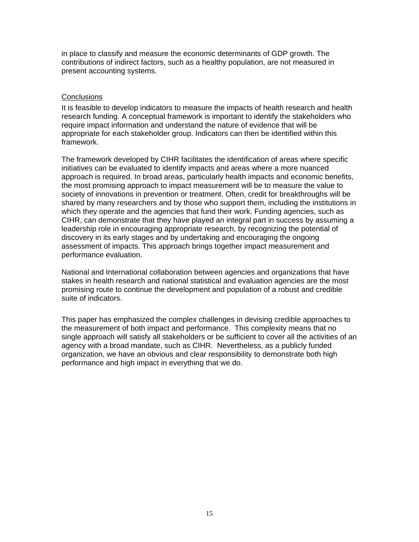in place to classify and measure the economic determinants of GDP growth. The contributions of indirect factors, such as a healthy population, are not measured in present accounting systems.

#### **Conclusions**

It is feasible to develop indicators to measure the impacts of health research and health research funding. A conceptual framework is important to identify the stakeholders who require impact information and understand the nature of evidence that will be appropriate for each stakeholder group. Indicators can then be identified within this framework.

The framework developed by CIHR facilitates the identification of areas where specific initiatives can be evaluated to identify impacts and areas where a more nuanced approach is required. In broad areas, particularly health impacts and economic benefits, the most promising approach to impact measurement will be to measure the value to society of innovations in prevention or treatment. Often, credit for breakthroughs will be shared by many researchers and by those who support them, including the institutions in which they operate and the agencies that fund their work. Funding agencies, such as CIHR, can demonstrate that they have played an integral part in success by assuming a leadership role in encouraging appropriate research, by recognizing the potential of discovery in its early stages and by undertaking and encouraging the ongoing assessment of impacts. This approach brings together impact measurement and performance evaluation.

National and International collaboration between agencies and organizations that have stakes in health research and national statistical and evaluation agencies are the most promising route to continue the development and population of a robust and credible suite of indicators.

This paper has emphasized the complex challenges in devising credible approaches to the measurement of both impact and performance. This complexity means that no single approach will satisfy all stakeholders or be sufficient to cover all the activities of an agency with a broad mandate, such as CIHR. Nevertheless, as a publicly funded organization, we have an obvious and clear responsibility to demonstrate both high performance and high impact in everything that we do.